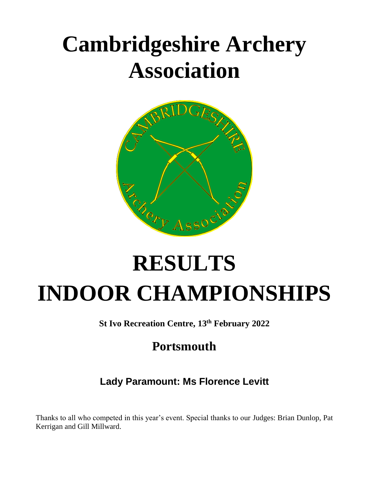# **Cambridgeshire Archery Association**



# **RESULTS INDOOR CHAMPIONSHIPS**

**St Ivo Recreation Centre, 13th February 2022**

## **Portsmouth**

## **Lady Paramount: Ms Florence Levitt**

Thanks to all who competed in this year's event. Special thanks to our Judges: Brian Dunlop, Pat Kerrigan and Gill Millward.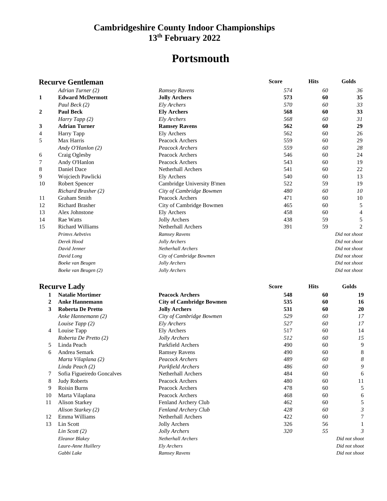## **Portsmouth**

| <b>Recurve Gentleman</b> |                            |                                 | <b>Score</b> | <b>Hits</b> | Golds          |
|--------------------------|----------------------------|---------------------------------|--------------|-------------|----------------|
|                          | Adrian Turner (2)          | Ramsey Ravens                   | 574          | 60          | 36             |
| 1                        | <b>Edward McDermott</b>    | <b>Jolly Archers</b>            | 573          | 60          | 35             |
|                          | Paul Beck (2)              | <b>Ely Archers</b>              | 570          | 60          | 33             |
| 2                        | <b>Paul Beck</b>           | <b>Ely Archers</b>              | 568          | 60          | 33             |
|                          | Harry Tapp (2)             | Ely Archers                     | 568          | 60          | 31             |
| 3                        | <b>Adrian Turner</b>       | <b>Ramsey Ravens</b>            | 562          | 60          | 29             |
| 4                        | Harry Tapp                 | <b>Ely Archers</b>              | 562          | 60          | 26             |
| 5                        | Max Harris                 | Peacock Archers                 | 559          | 60          | 29             |
|                          | Andy O'Hanlon (2)          | Peacock Archers                 | 559          | 60          | 28             |
| 6                        | Craig Oglesby              | Peacock Archers                 | 546          | 60          | 24             |
| 7                        | Andy O'Hanlon              | Peacock Archers                 | 543          | 60          | 19             |
| 8                        | Daniel Dace                | Netherhall Archers              | 541          | 60          | 22             |
| 9                        | Wojciech Pawlicki          | <b>Ely Archers</b>              | 540          | 60          | 13             |
| 10                       | Robert Spencer             | Cambridge University B'men      | 522          | 59          | 19             |
|                          | Richard Brasher (2)        | City of Cambridge Bowmen        | 480          | 60          | 10             |
| 11                       | Graham Smith               | Peacock Archers                 | 471          | 60          | 10             |
| 12                       | <b>Richard Brasher</b>     | City of Cambridge Bowmen        | 465          | 60          | 5              |
| 13                       | Alex Johnstone             | <b>Ely Archers</b>              | 458          | 60          | $\overline{4}$ |
| 14                       | Rae Watts                  | <b>Jolly Archers</b>            | 438          | 59          | 5              |
| 15                       | <b>Richard Williams</b>    | Netherhall Archers              | 391          | 59          | $\overline{2}$ |
|                          | Primvs Aebvtivs            | Ramsey Ravens                   |              |             | Did not shoot  |
|                          | Derek Hood                 | Jolly Archers                   |              |             | Did not shoot  |
|                          | David Jenner               | Netherhall Archers              |              |             | Did not shoot  |
|                          | David Long                 | City of Cambridge Bowmen        |              |             | Did not shoot  |
|                          | Boeke van Beugen           | Jolly Archers                   |              |             | Did not shoot  |
|                          | Boeke van Beugen (2)       | Jolly Archers                   |              |             | Did not shoot  |
|                          | <b>Recurve Lady</b>        |                                 | <b>Score</b> | <b>Hits</b> | Golds          |
| 1                        | <b>Natalie Mortimer</b>    | <b>Peacock Archers</b>          | 548          | 60          | 19             |
| 2                        | <b>Anke Hannemann</b>      | <b>City of Cambridge Bowmen</b> | 535          | 60          | 16             |
| 3                        | <b>Roberta De Pretto</b>   | <b>Jolly Archers</b>            | 531          | 60          | 20             |
|                          | Anke Hannemann (2)         | City of Cambridge Bowmen        | 529          | 60          | 17             |
|                          | Louise Tapp (2)            | Ely Archers                     | 527          | 60          | 17             |
| 4                        | Louise Tapp                | <b>Ely Archers</b>              | 517          | 60          | 14             |
|                          | Roberta De Pretto (2)      | Jolly Archers                   | 512          | 60          | 15             |
| 5                        | Linda Peach                | Parkfield Archers               | 490          | 60          | 9              |
| 6                        | Andrea Semark              | <b>Ramsey Ravens</b>            | 490          | 60          | 8              |
|                          | Marta Vilaplana (2)        | Peacock Archers                 | 489          | $60\,$      | 8              |
|                          | Linda Peach (2)            | Parkfield Archers               | 486          | 60          | 9              |
| 7                        | Sofia Figueiredo Goncalves | Netherhall Archers              | 484          | 60          | 6              |
| 8                        | <b>Judy Roberts</b>        | Peacock Archers                 | 480          | 60          | 11             |
| 9                        | Roisin Burns               | Peacock Archers                 | 478          | 60          | 5              |
|                          | Marta Vilaplana            | Peacock Archers                 | 468          | 60          | 6              |
| 10<br>11                 | <b>Alison Starkey</b>      | Fenland Archery Club            | 462          | 60          | 5              |
|                          | Alison Starkey (2)         | Fenland Archery Club            | 428          | 60          | 3              |
| 12                       | Emma Williams              | Netherhall Archers              | 422          | 60          |                |
| 13                       | Lin Scott                  | <b>Jolly Archers</b>            | 326          | 56          |                |
|                          | Lin Scott $(2)$            | Jolly Archers                   | 320          | 55          | 3              |
|                          | Eleanor Blakey             | Netherhall Archers              |              |             | Did not shoot  |
|                          | Laure-Anne Huillery        | Ely Archers                     |              |             | Did not shoot  |
|                          | Gabbi Lake                 | Ramsey Ravens                   |              |             | Did not shoot  |
|                          |                            |                                 |              |             |                |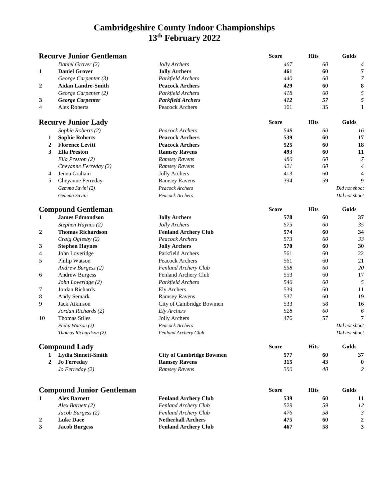| <b>Recurve Junior Gentleman</b> |                                  |                                 | <b>Score</b> | <b>Hits</b> | Golds            |
|---------------------------------|----------------------------------|---------------------------------|--------------|-------------|------------------|
|                                 | Daniel Grover (2)                | Jolly Archers                   | 467          | 60          | 4                |
| 1                               | <b>Daniel Grover</b>             | <b>Jolly Archers</b>            | 461          | 60          | 7                |
|                                 | George Carpenter (3)             | Parkfield Archers               | 440          | 60          | $\overline{7}$   |
| $\mathbf{2}$                    | <b>Aidan Landre-Smith</b>        | <b>Peacock Archers</b>          | 429          | 60          | 8                |
|                                 | George Carpenter (2)             | Parkfield Archers               | 418          | 60          | 5                |
| 3                               | <b>George Carpenter</b>          | <b>Parkfield Archers</b>        | 412          | 57          | 5                |
| 4                               | <b>Alex Roberts</b>              | Peacock Archers                 | 161          | 35          | 1                |
|                                 | <b>Recurve Junior Lady</b>       |                                 | <b>Score</b> | <b>Hits</b> | Golds            |
|                                 | Sophie Roberts (2)               | Peacock Archers                 | 548          | 60          | 16               |
| 1                               | <b>Sophie Roberts</b>            | <b>Peacock Archers</b>          | 539          | 60          | 17               |
| $\boldsymbol{2}$                | <b>Florence Levitt</b>           | <b>Peacock Archers</b>          | 525          | 60          | 18               |
| 3                               | <b>Ella Preston</b>              | <b>Ramsey Ravens</b>            | 493          | 60          | 11               |
|                                 | Ella Preston (2)                 | Ramsey Ravens                   | 486          | 60          | $\boldsymbol{7}$ |
|                                 | Cheyanne Ferreday (2)            | Ramsey Ravens                   | 421          | 60          | $\overline{4}$   |
| 4                               | Jenna Graham                     | <b>Jolly Archers</b>            | 413          | 60          | 4                |
| 5                               | Cheyanne Ferreday                | <b>Ramsey Ravens</b>            | 394          | 59          | 9                |
|                                 | Gemma Savini (2)                 | Peacock Archers                 |              |             | Did not shoot    |
|                                 | Gemma Savini                     | Peacock Archers                 |              |             | Did not shoot    |
|                                 | <b>Compound Gentleman</b>        |                                 | <b>Score</b> | <b>Hits</b> | Golds            |
| 1                               | <b>James Edmondson</b>           | <b>Jolly Archers</b>            | 578          | 60          | 37               |
|                                 | Stephen Haynes (2)               | Jolly Archers                   | 575          | 60          | 35               |
| $\overline{2}$                  | <b>Thomas Richardson</b>         | <b>Fenland Archery Club</b>     | 574          | 60          | 34               |
|                                 | Craig Oglesby (2)                | Peacock Archers                 | 573          | 60          | 33               |
| 3                               | <b>Stephen Haynes</b>            | <b>Jolly Archers</b>            | 570          | 60          | 30               |
| 4                               | John Loveridge                   | Parkfield Archers               | 561          | 60          | 22               |
| 5                               | Philip Watson                    | Peacock Archers                 | 561          | 60          | 21               |
|                                 | Andrew Burgess (2)               | Fenland Archery Club            | 558          | 60          | 20               |
| 6                               | <b>Andrew Burgess</b>            | Fenland Archery Club            | 553          | 60          | 17               |
|                                 | John Loveridge (2)               | Parkfield Archers               | 546          | 60          | 5                |
| 7                               | Jordan Richards                  | <b>Ely Archers</b>              | 539          | 60          | 11               |
| 8                               | Andy Semark                      | <b>Ramsey Ravens</b>            | 537          | 60          | 19               |
| 9                               | Jack Atkinson                    | City of Cambridge Bowmen        | 533          | 58          | 16               |
|                                 | Jordan Richards (2)              | Ely Archers                     | 528          | 60          | 6                |
| 10                              | <b>Thomas Stiles</b>             | Jolly Archers                   | 476          | 57          | 7                |
|                                 | Philip Watson (2)                | Peacock Archers                 |              |             | Did not shoot    |
|                                 | Thomas Richardson (2)            | Fenland Archery Club            |              |             | Did not shoot    |
|                                 | <b>Compound Lady</b>             |                                 | <b>Score</b> | <b>Hits</b> | Golds            |
| 1                               | <b>Lydia Sinnett-Smith</b>       | <b>City of Cambridge Bowmen</b> | 577          | 60          | 37               |
| $\overline{2}$                  | <b>Jo Ferreday</b>               | <b>Ramsey Ravens</b>            | 315          | 43          | $\bf{0}$         |
|                                 | $Jo$ Ferreday $(2)$              | Ramsey Ravens                   | 300          | 40          | $\overline{2}$   |
|                                 |                                  |                                 |              |             |                  |
|                                 | <b>Compound Junior Gentleman</b> |                                 | <b>Score</b> | <b>Hits</b> | Golds            |
| 1                               | <b>Alex Barnett</b>              | <b>Fenland Archery Club</b>     | 539          | 60          | 11               |
|                                 | Alex Barnett (2)                 | Fenland Archery Club            | 529          | 59          | 12               |
|                                 | Jacob Burgess (2)                | Fenland Archery Club            | 476          | 58          | $\mathfrak{Z}$   |
| 2                               | <b>Luke Dace</b>                 | <b>Netherhall Archers</b>       | 475          | 60          | $\mathbf{2}$     |
| 3                               | <b>Jacob Burgess</b>             | <b>Fenland Archery Club</b>     | 467          | 58          | 3                |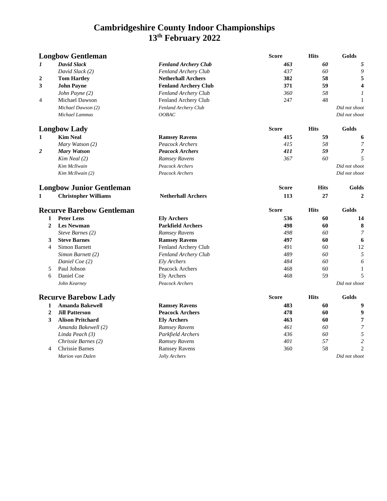| <b>Longbow Gentleman</b>         |                             | <b>Score</b>                | <b>Hits</b>  | Golds       |                  |
|----------------------------------|-----------------------------|-----------------------------|--------------|-------------|------------------|
| 1                                | <b>David Slack</b>          | <b>Fenland Archery Club</b> | 463          | 60          | 5                |
|                                  | David Slack (2)             | Fenland Archery Club        | 437          | 60          | 9                |
| 2                                | <b>Tom Hartley</b>          | <b>Netherhall Archers</b>   | 382          | 58          | 5                |
| 3                                | <b>John Payne</b>           | <b>Fenland Archery Club</b> | 371          | 59          | $\boldsymbol{4}$ |
|                                  | John Payne (2)              | Fenland Archery Club        | 360          | 58          | 1                |
| 4                                | Michael Dawson              | Fenland Archery Club        | 247          | 48          | 1                |
|                                  | Michael Dawson (2)          | Fenland Archery Club        |              |             | Did not shoot    |
|                                  | Michael Lammas              | OOBAC                       |              |             | Did not shoot    |
|                                  | <b>Longbow Lady</b>         |                             | <b>Score</b> | <b>Hits</b> | Golds            |
| 1                                | <b>Kim Neal</b>             | <b>Ramsey Ravens</b>        | 415          | 59          | 6                |
|                                  | Mary Watson (2)             | Peacock Archers             | 415          | 58          | 7                |
| 2                                | <b>Mary Watson</b>          | <b>Peacock Archers</b>      | 411          | 59          | 7                |
|                                  | Kim Neal (2)                | Ramsey Ravens               | 367          | 60          | 5                |
|                                  | Kim McIlwain                | Peacock Archers             |              |             | Did not shoot    |
|                                  | Kim McIlwain (2)            | Peacock Archers             |              |             | Did not shoot    |
| <b>Longbow Junior Gentleman</b>  |                             | <b>Score</b>                | <b>Hits</b>  | Golds       |                  |
| 1                                | <b>Christopher Williams</b> | <b>Netherhall Archers</b>   | 113          | 27          | $\overline{2}$   |
| <b>Recurve Barebow Gentleman</b> |                             | <b>Score</b>                | <b>Hits</b>  | Golds       |                  |
| 1                                | <b>Peter Lens</b>           | <b>Ely Archers</b>          | 536          | 60          | 14               |
| $\overline{2}$                   | <b>Les Newman</b>           | <b>Parkfield Archers</b>    | 498          | 60          | 8                |
|                                  | Steve Barnes (2)            | Ramsey Ravens               | 498          | 60          | $\overline{7}$   |
| 3                                | <b>Steve Barnes</b>         | <b>Ramsey Ravens</b>        | 497          | 60          | 6                |
| 4                                | Simon Barnett               | Fenland Archery Club        | 491          | 60          | 12               |
|                                  | Simon Barnett (2)           | Fenland Archery Club        | 489          | 60          | 5                |
|                                  | Daniel Coe (2)              | Ely Archers                 | 484          | 60          | 6                |
| 5                                | Paul Jobson                 | Peacock Archers             | 468          | 60          | $\mathbf{1}$     |
| 6                                | Daniel Coe                  | Ely Archers                 | 468          | 59          | 5                |
|                                  | John Kearney                | Peacock Archers             |              |             | Did not shoot    |
| <b>Recurve Barebow Lady</b>      |                             | <b>Score</b>                | <b>Hits</b>  | Golds       |                  |
| $\mathbf{1}$                     | <b>Amanda Bakewell</b>      | <b>Ramsey Ravens</b>        | 483          | 60          | 9                |
| $\overline{2}$                   | <b>Jill Patterson</b>       | <b>Peacock Archers</b>      | 478          | 60          | 9                |
| 3                                | <b>Alison Pritchard</b>     | <b>Ely Archers</b>          | 463          | 60          | 7                |
|                                  | Amanda Bakewell (2)         | <b>Ramsey Ravens</b>        | 461          | 60          | 7                |
|                                  | Linda Peach (3)             | Parkfield Archers           | 436          | 60          | 5                |
|                                  | Chrissie Barnes (2)         | Ramsey Ravens               | 401          | 57          | $\overline{2}$   |
| $\overline{4}$                   | Chrissie Barnes             | <b>Ramsey Ravens</b>        | 360          | 58          | $\overline{c}$   |
|                                  |                             | Jolly Archers               |              |             |                  |